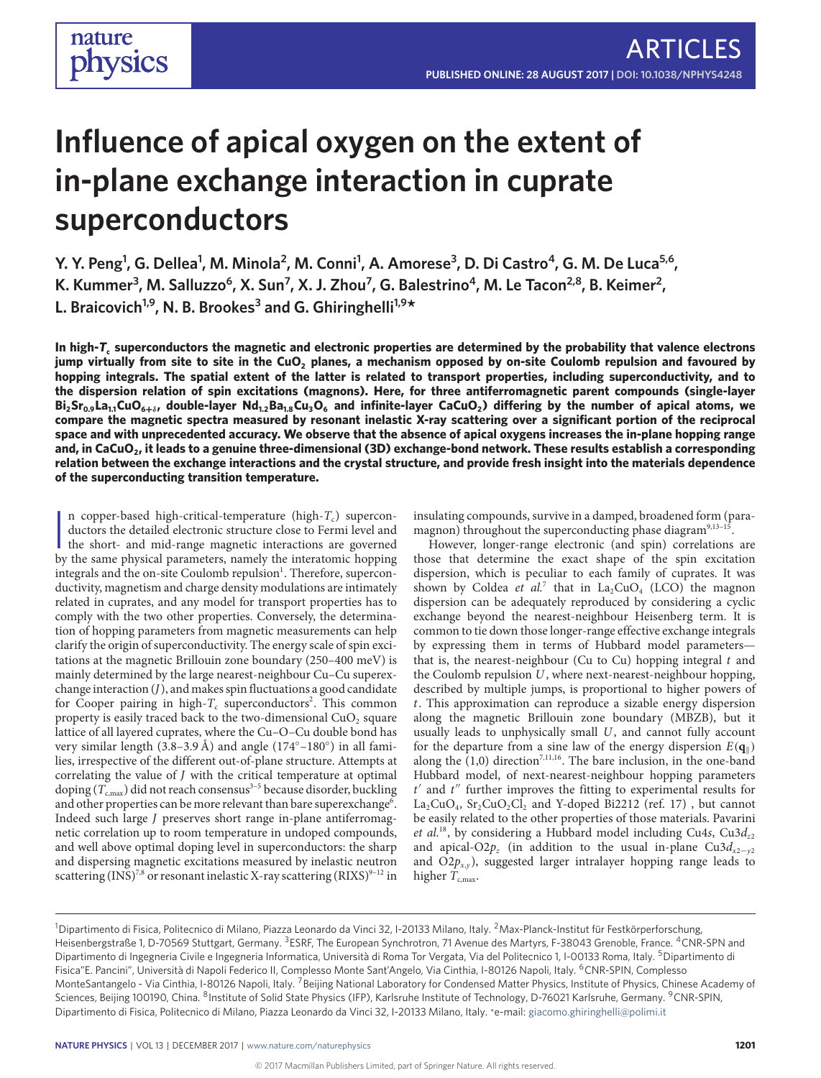# **Influence of apical oxygen on the extent of in-plane exchange interaction in cuprate superconductors**

**Y. Y. Peng<sup>1</sup>, G. Dellea<sup>1</sup>, M. Minola<sup>2</sup>, M. Conni<sup>1</sup>, A. Amorese<sup>3</sup>, D. Di Castro<sup>4</sup>, G. M. De Luca<sup>5,6</sup>, K. Kummer<sup>3</sup> , M. Salluzzo<sup>6</sup> , X. Sun7 , X. J. Zhou7 , G. Balestrino4 , M. Le Tacon2,8, B. Keimer<sup>2</sup> , L. Braicovich1,9, N. B. Brookes3 and G. Ghiringhelli1,9\***

**In high-***T***<sup>c</sup> superconductors the magnetic and electronic properties are determined by the probability that valence electrons jump virtually from site to site in the CuO<sup>2</sup> planes, a mechanism opposed by on-site Coulomb repulsion and favoured by hopping integrals. The spatial extent of the latter is related to transport properties, including superconductivity, and to the dispersion relation of spin excitations (magnons). Here, for three antiferromagnetic parent compounds (single-layer**  $Bi_2Sr_{0.9}La_{1.1}CuO_{6+\delta}$ , double-layer Nd $_{1.2}Ba_{1.8}Cu_3O_6$  and infinite-layer CaCuO $_2$ ) differing by the number of apical atoms, we **compare the magnetic spectra measured by resonant inelastic X-ray scattering over a significant portion of the reciprocal space and with unprecedented accuracy. We observe that the absence of apical oxygens increases the in-plane hopping range and, in CaCuO<sup>2</sup> , it leads to a genuine three-dimensional (3D) exchange-bond network. These results establish a corresponding relation between the exchange interactions and the crystal structure, and provide fresh insight into the materials dependence of the superconducting transition temperature.**

In copper-based high-critical-temperature (high- $T_c$ ) superconductors the detailed electronic structure close to Fermi level and the short- and mid-range magnetic interactions are governed by the same physical parameters n copper-based high-critical-temperature (high- $T_c$ ) superconductors the detailed electronic structure close to Fermi level and by the same physical parameters, namely the interatomic hopping integrals and the on-site Coulomb repulsion<sup>[1](#page-5-0)</sup>. Therefore, superconductivity, magnetism and charge density modulations are intimately related in cuprates, and any model for transport properties has to comply with the two other properties. Conversely, the determination of hopping parameters from magnetic measurements can help clarify the origin of superconductivity. The energy scale of spin excitations at the magnetic Brillouin zone boundary (250–400 meV) is mainly determined by the large nearest-neighbour Cu–Cu superexchange interaction  $(J)$ , and makes spin fluctuations a good candidate for Cooper pairing in high- $T_c$  superconductors<sup>[2](#page-5-1)</sup>. This common property is easily traced back to the two-dimensional  $CuO<sub>2</sub>$  square lattice of all layered cuprates, where the Cu–O–Cu double bond has very similar length (3.8-3.9 Å) and angle (174°-180°) in all families, irrespective of the different out-of-plane structure. Attempts at correlating the value of J with the critical temperature at optimal doping ( $T_{\mathrm{c,max}}$ ) did not reach consensus $^{3-5}$  $^{3-5}$  $^{3-5}$  because disorder, buckling and other properties can be more relevant than bare superexchange $^6$  $^6$ . Indeed such large J preserves short range in-plane antiferromagnetic correlation up to room temperature in undoped compounds, and well above optimal doping level in superconductors: the sharp and dispersing magnetic excitations measured by inelastic neutron scattering (INS)<sup>[7](#page-5-5)[,8](#page-5-6)</sup> or resonant inelastic X-ray scattering (RIXS)<sup>[9](#page-5-7)-12</sup> in

nature

physics

insulating compounds, survive in a damped, broadened form (para-magnon) throughout the superconducting phase diagram<sup>[9](#page-5-7),13-1</sup> .

However, longer-range electronic (and spin) correlations are those that determine the exact shape of the spin excitation dispersion, which is peculiar to each family of cuprates. It was shown by Coldea *et al.*<sup>[7](#page-5-5)</sup> that in  $La_2CuO_4$  (LCO) the magnon dispersion can be adequately reproduced by considering a cyclic exchange beyond the nearest-neighbour Heisenberg term. It is common to tie down those longer-range effective exchange integrals by expressing them in terms of Hubbard model parameters that is, the nearest-neighbour (Cu to Cu) hopping integral  $t$  and the Coulomb repulsion U, where next-nearest-neighbour hopping, described by multiple jumps, is proportional to higher powers of t. This approximation can reproduce a sizable energy dispersion along the magnetic Brillouin zone boundary (MBZB), but it usually leads to unphysically small U, and cannot fully account for the departure from a sine law of the energy dispersion  $E(\mathbf{q}_{\parallel})$ along the  $(1,0)$  direction<sup>[7](#page-5-5)[,11,](#page-5-11)[16](#page-5-12)</sup>. The bare inclusion, in the one-band Hubbard model, of next-nearest-neighbour hopping parameters  $t'$  and  $t''$  further improves the fitting to experimental results for  $\text{La}_2\text{CuO}_4$ ,  $\text{Sr}_2\text{CuO}_2\text{Cl}_2$  and Y-doped Bi2212 (ref. [17\)](#page-5-13), but cannot be easily related to the other properties of those materials. Pavarini *et al.*<sup>[18](#page-5-14)</sup>, by considering a Hubbard model including Cu4s, Cu3 $d_{z2}$ and apical-O2 $p_z$  (in addition to the usual in-plane Cu3 $d_{x2-y2}$ and  $O2p_{x,y}$ , suggested larger intralayer hopping range leads to higher  $T_{c,max}$ .

<sup>&</sup>lt;sup>1</sup>Dipartimento di Fisica, Politecnico di Milano, Piazza Leonardo da Vinci 32, I-20133 Milano, Italy. <sup>2</sup>Max-Planck-Institut für Festkörperforschung, Heisenbergstraße 1, D-70569 Stuttgart, Germany. <sup>3</sup>ESRF, The European Synchrotron, 71 Avenue des Martyrs, F-38043 Grenoble, France. <sup>4</sup>CNR-SPN and Dipartimento di Ingegneria Civile e Ingegneria Informatica, Università di Roma Tor Vergata, Via del Politecnico 1, I-00133 Roma, Italy. <sup>5</sup>Dipartimento di Fisica"E. Pancini", Università di Napoli Federico II, Complesso Monte Sant'Angelo, Via Cinthia, I-80126 Napoli, Italy. <sup>6</sup>CNR-SPIN, Complesso MonteSantangelo - Via Cinthia, I-80126 Napoli, Italy. <sup>7</sup>Beijing National Laboratory for Condensed Matter Physics, Institute of Physics, Chinese Academy of Sciences, Beijing 100190, China. <sup>8</sup>Institute of Solid State Physics (IFP), Karlsruhe Institute of Technology, D-76021 Karlsruhe, Germany. <sup>9</sup>CNR-SPIN, Dipartimento di Fisica, Politecnico di Milano, Piazza Leonardo da Vinci 32, I-20133 Milano, Italy. \*e-mail: [giacomo.ghiringhelli@polimi.it](mailto:giacomo.ghiringhelli@polimi.it)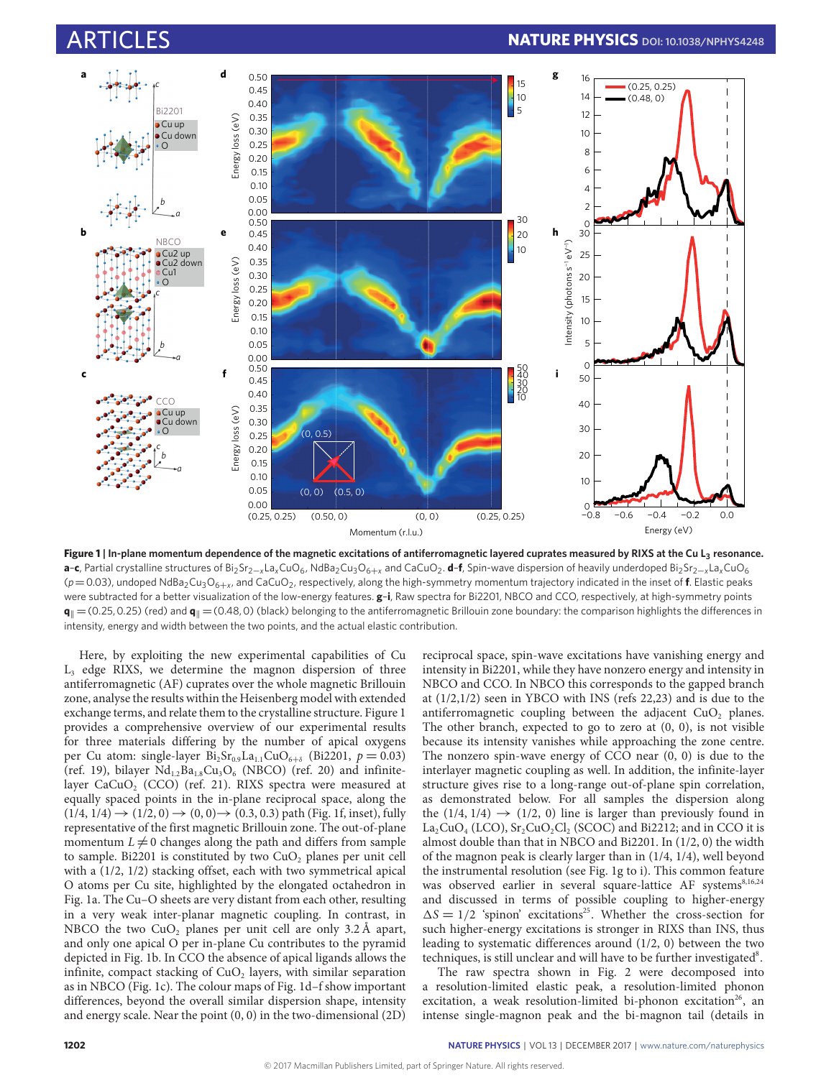<span id="page-1-0"></span>

**Figure 1 | In-plane momentum dependence of the magnetic excitations of antiferromagnetic layered cuprates measured by RIXS at the Cu L<sup>3</sup> resonance.** a–**c**, Partial crystalline structures of Bi<sub>2</sub>Sr<sub>2−*x*</sub>La<sub>x</sub>CuO<sub>6</sub>, NdBa<sub>2</sub>Cu<sub>3</sub>O<sub>6+</sub>*x* and CaCuO<sub>2</sub>. d–f, Spin-wave dispersion of heavily underdoped Bi<sub>2</sub>Sr<sub>2−*x*</sub>La<sub>x</sub>CuO<sub>6</sub> ( $p$  = 0.03), undoped NdBa<sub>2</sub>Cu<sub>3</sub>O<sub>6+x</sub>, and CaCuO<sub>2</sub>, respectively, along the high-symmetry momentum trajectory indicated in the inset of **f**. Elastic peaks were subtracted for a better visualization of the low-energy features. **g**–**i**, Raw spectra for Bi2201, NBCO and CCO, respectively, at high-symmetry points  $\mathbf{q}_{\parallel}$  =(0.25, 0.25) (red) and  $\mathbf{q}_{\parallel}$  =(0.48, 0) (black) belonging to the antiferromagnetic Brillouin zone boundary: the comparison highlights the differences in intensity, energy and width between the two points, and the actual elastic contribution.

Here, by exploiting the new experimental capabilities of Cu L<sup>3</sup> edge RIXS, we determine the magnon dispersion of three antiferromagnetic (AF) cuprates over the whole magnetic Brillouin zone, analyse the results within the Heisenberg model with extended exchange terms, and relate them to the crystalline structure. Figure [1](#page-1-0) provides a comprehensive overview of our experimental results for three materials differing by the number of apical oxygens per Cu atom: single-layer  $Bi_2Sr_{0.9}La_{1.1}CuO_{6+\delta}$  (Bi2201,  $p = 0.03$ ) (ref. [19\)](#page-5-15), bilayer  $Nd_{1.2}Ba_{1.8}Cu_3O_6$  (NBCO) (ref. [20\)](#page-5-16) and infinite-layer CaCuO<sub>2</sub> (CCO) (ref. [21\)](#page-5-17). RIXS spectra were measured at equally spaced points in the in-plane reciprocal space, along the  $(1/4, 1/4) \rightarrow (1/2, 0) \rightarrow (0, 0) \rightarrow (0.3, 0.3)$  path (Fig. [1f,](#page-1-0) inset), fully representative of the first magnetic Brillouin zone. The out-of-plane momentum  $L \neq 0$  changes along the path and differs from sample to sample. Bi2201 is constituted by two  $CuO<sub>2</sub>$  planes per unit cell with a (1/2, 1/2) stacking offset, each with two symmetrical apical O atoms per Cu site, highlighted by the elongated octahedron in Fig. [1a.](#page-1-0) The Cu–O sheets are very distant from each other, resulting in a very weak inter-planar magnetic coupling. In contrast, in NBCO the two  $CuO<sub>2</sub>$  planes per unit cell are only 3.2 Å apart, and only one apical O per in-plane Cu contributes to the pyramid depicted in Fig. [1b.](#page-1-0) In CCO the absence of apical ligands allows the infinite, compact stacking of  $CuO<sub>2</sub>$  layers, with similar separation as in NBCO (Fig. [1c\)](#page-1-0). The colour maps of Fig. [1d–f](#page-1-0) show important differences, beyond the overall similar dispersion shape, intensity and energy scale. Near the point (0, 0) in the two-dimensional (2D)

reciprocal space, spin-wave excitations have vanishing energy and intensity in Bi2201, while they have nonzero energy and intensity in NBCO and CCO. In NBCO this corresponds to the gapped branch at (1/2,1/2) seen in YBCO with INS (refs [22,](#page-5-18)[23\)](#page-5-19) and is due to the antiferromagnetic coupling between the adjacent  $CuO<sub>2</sub>$  planes. The other branch, expected to go to zero at (0, 0), is not visible because its intensity vanishes while approaching the zone centre. The nonzero spin-wave energy of CCO near (0, 0) is due to the interlayer magnetic coupling as well. In addition, the infinite-layer structure gives rise to a long-range out-of-plane spin correlation, as demonstrated below. For all samples the dispersion along the  $(1/4, 1/4) \rightarrow (1/2, 0)$  line is larger than previously found in  $La_2CuO_4$  (LCO),  $Sr_2CuO_2Cl_2$  (SCOC) and Bi2212; and in CCO it is almost double than that in NBCO and Bi2201. In (1/2, 0) the width of the magnon peak is clearly larger than in (1/4, 1/4), well beyond the instrumental resolution (see Fig. [1g to i\)](#page-1-0). This common feature was observed earlier in several square-lattice AF systems<sup>[8,](#page-5-6)[16,](#page-5-12)[24](#page-5-20)</sup> and discussed in terms of possible coupling to higher-energy  $\Delta S = 1/2$  'spinon' excitations<sup>[25](#page-5-21)</sup>. Whether the cross-section for such higher-energy excitations is stronger in RIXS than INS, thus leading to systematic differences around (1/2, 0) between the two techniques, is still unclear and will have to be further investigated<sup>[8](#page-5-6)</sup>.

The raw spectra shown in Fig. [2](#page-2-0) were decomposed into a resolution-limited elastic peak, a resolution-limited phonon excitation, a weak resolution-limited bi-phonon excitation<sup>[26](#page-5-22)</sup>, an intense single-magnon peak and the bi-magnon tail (details in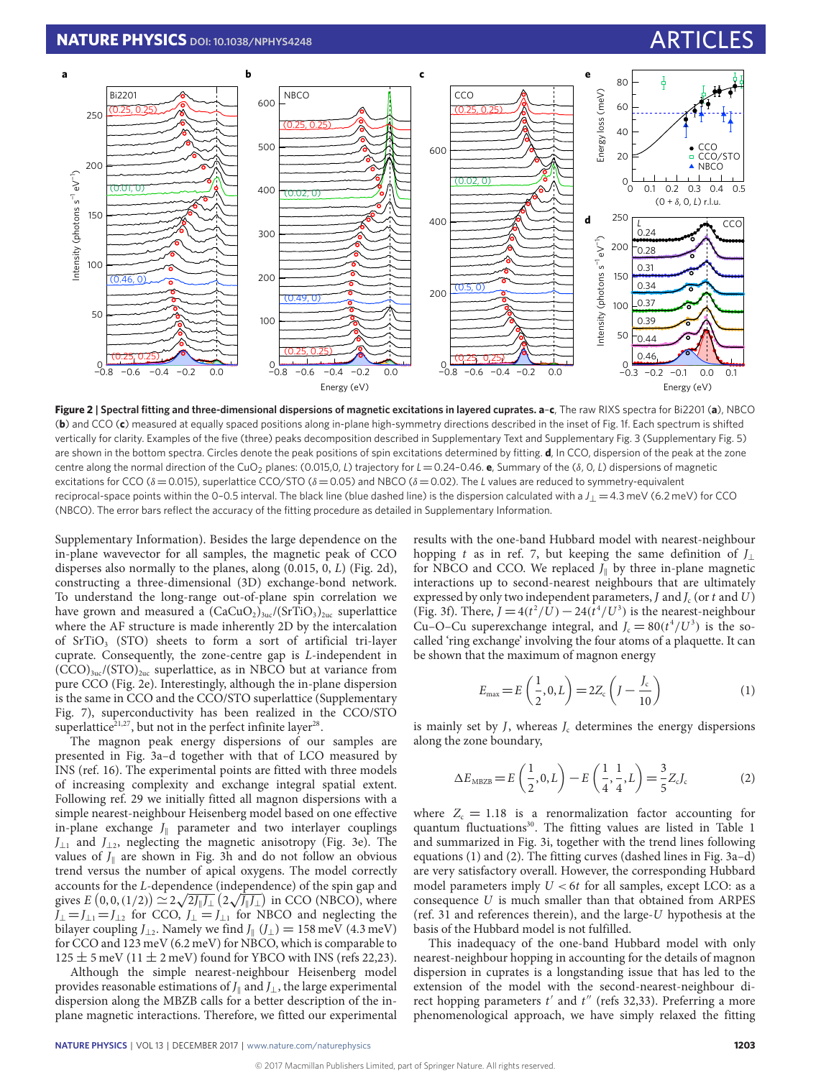<span id="page-2-0"></span>

**Figure 2 | Spectral fitting and three-dimensional dispersions of magnetic excitations in layered cuprates. a**–**c**, The raw RIXS spectra for Bi2201 (**a**), NBCO (**b**) and CCO (**c**) measured at equally spaced positions along in-plane high-symmetry directions described in the inset of Fig. [1f.](#page-1-0) Each spectrum is shifted vertically for clarity. Examples of the five (three) peaks decomposition described in Supplementary Text and Supplementary Fig. 3 (Supplementary Fig. 5) are shown in the bottom spectra. Circles denote the peak positions of spin excitations determined by fitting. **d**, In CCO, dispersion of the peak at the zone centre along the normal direction of the CuO<sup>2</sup> planes: (0.015,0, *L*) trajectory for *L*=0.24–0.46. **e**, Summary of the (δ, 0, *L*) dispersions of magnetic excitations for CCO (δ=0.015), superlattice CCO/STO (δ=0.05) and NBCO (δ=0.02). The *L* values are reduced to symmetry-equivalent reciprocal-space points within the 0–0.5 interval. The black line (blue dashed line) is the dispersion calculated with a *J*<sup>⊥</sup> =4.3 meV (6.2 meV) for CCO (NBCO). The error bars reflect the accuracy of the fitting procedure as detailed in Supplementary Information.

Supplementary Information). Besides the large dependence on the in-plane wavevector for all samples, the magnetic peak of CCO disperses also normally to the planes, along (0.015, 0, L) (Fig. [2d\)](#page-2-0), constructing a three-dimensional (3D) exchange-bond network. To understand the long-range out-of-plane spin correlation we have grown and measured a  $(CaCuO<sub>2</sub>)<sub>3uc</sub>/(SrTiO<sub>3</sub>)<sub>2uc</sub> superlattice$ where the AF structure is made inherently 2D by the intercalation of  $SrTiO<sub>3</sub>$  (STO) sheets to form a sort of artificial tri-layer cuprate. Consequently, the zone-centre gap is L-independent in  $(CCO)_{3uc}/(STO)_{2uc}$  superlattice, as in NBCO but at variance from pure CCO (Fig. [2e\)](#page-2-0). Interestingly, although the in-plane dispersion is the same in CCO and the CCO/STO superlattice (Supplementary Fig. 7), superconductivity has been realized in the CCO/STO superlattice<sup>[21](#page-5-17)[,27](#page-5-23)</sup>, but not in the perfect infinite layer<sup>[28](#page-5-24)</sup>.

The magnon peak energy dispersions of our samples are presented in Fig. [3a–d](#page-3-0) together with that of LCO measured by INS (ref. [16\)](#page-5-12). The experimental points are fitted with three models of increasing complexity and exchange integral spatial extent. Following ref. [29](#page-5-25) we initially fitted all magnon dispersions with a simple nearest-neighbour Heisenberg model based on one effective in-plane exchange  $J_{\parallel}$  parameter and two interlayer couplings  $J_{\perp 1}$  and  $J_{\perp 2}$ , neglecting the magnetic anisotropy (Fig. [3e\)](#page-3-0). The values of  $J_{\parallel}$  are shown in Fig. [3h](#page-3-0) and do not follow an obvious trend versus the number of apical oxygens. The model correctly  $\alpha$  accounts for the *L*-dependence (independence) of the spin gap and gives  $E\left(0,0,(1/2)\right) \simeq 2\sqrt{2J_{\parallel}J_{\perp}}\left(2\sqrt{J_{\parallel}J_{\perp}}\right)$  in CCO (NBCO), where  $J_{\perp} = J_{\perp 1} = J_{\perp 2}$  for CCO,  $J_{\perp} = J_{\perp 1}$  for NBCO and neglecting the bilayer coupling  $J_{\perp 2}$ . Namely we find  $J_{\parallel}$  ( $J_{\perp}$ ) = 158 meV (4.3 meV) for CCO and 123 meV (6.2 meV) for NBCO, which is comparable to  $125 \pm 5$  meV (11  $\pm$  2 meV) found for YBCO with INS (refs [22,](#page-5-18)[23\)](#page-5-19).

Although the simple nearest-neighbour Heisenberg model provides reasonable estimations of  $J_{\parallel}$  and  $J_{\perp}$ , the large experimental dispersion along the MBZB calls for a better description of the inplane magnetic interactions. Therefore, we fitted our experimental

results with the one-band Hubbard model with nearest-neighbour hopping t as in ref. [7,](#page-5-5) but keeping the same definition of  $J_{\perp}$ for NBCO and CCO. We replaced  $J_{\parallel}$  by three in-plane magnetic interactions up to second-nearest neighbours that are ultimately expressed by only two independent parameters, J and  $J_c$  (or t and U) (Fig. [3f\)](#page-3-0). There,  $J = 4(t^2/\bar{U}) - 24(\bar{t}^4/U^3)$  is the nearest-neighbour Cu–O–Cu superexchange integral, and  $J_c = 80(t^4/U^3)$  is the socalled 'ring exchange' involving the four atoms of a plaquette. It can be shown that the maximum of magnon energy

<span id="page-2-2"></span><span id="page-2-1"></span>
$$
E_{\text{max}} = E\left(\frac{1}{2}, 0, L\right) = 2Z_c\left(J - \frac{J_c}{10}\right) \tag{1}
$$

is mainly set by  $J$ , whereas  $J<sub>c</sub>$  determines the energy dispersions along the zone boundary,

$$
\Delta E_{\text{MBZB}} = E\left(\frac{1}{2}, 0, L\right) - E\left(\frac{1}{4}, \frac{1}{4}, L\right) = \frac{3}{5} Z_c J_c \tag{2}
$$

where  $Z_c = 1.18$  is a renormalization factor accounting for quantum fluctuations<sup>[30](#page-5-26)</sup>. The fitting values are listed in Table [1](#page-3-1) and summarized in Fig. [3i,](#page-3-0) together with the trend lines following equations [\(1\)](#page-2-1) and [\(2\).](#page-2-2) The fitting curves (dashed lines in Fig. [3a–d\)](#page-3-0) are very satisfactory overall. However, the corresponding Hubbard model parameters imply  $U < 6t$  for all samples, except LCO: as a consequence U is much smaller than that obtained from ARPES (ref. [31](#page-5-27) and references therein), and the large-U hypothesis at the basis of the Hubbard model is not fulfilled.

This inadequacy of the one-band Hubbard model with only nearest-neighbour hopping in accounting for the details of magnon dispersion in cuprates is a longstanding issue that has led to the extension of the model with the second-nearest-neighbour direct hopping parameters  $t'$  and  $t''$  (refs [32](#page-5-28)[,33\)](#page-5-29). Preferring a more phenomenological approach, we have simply relaxed the fitting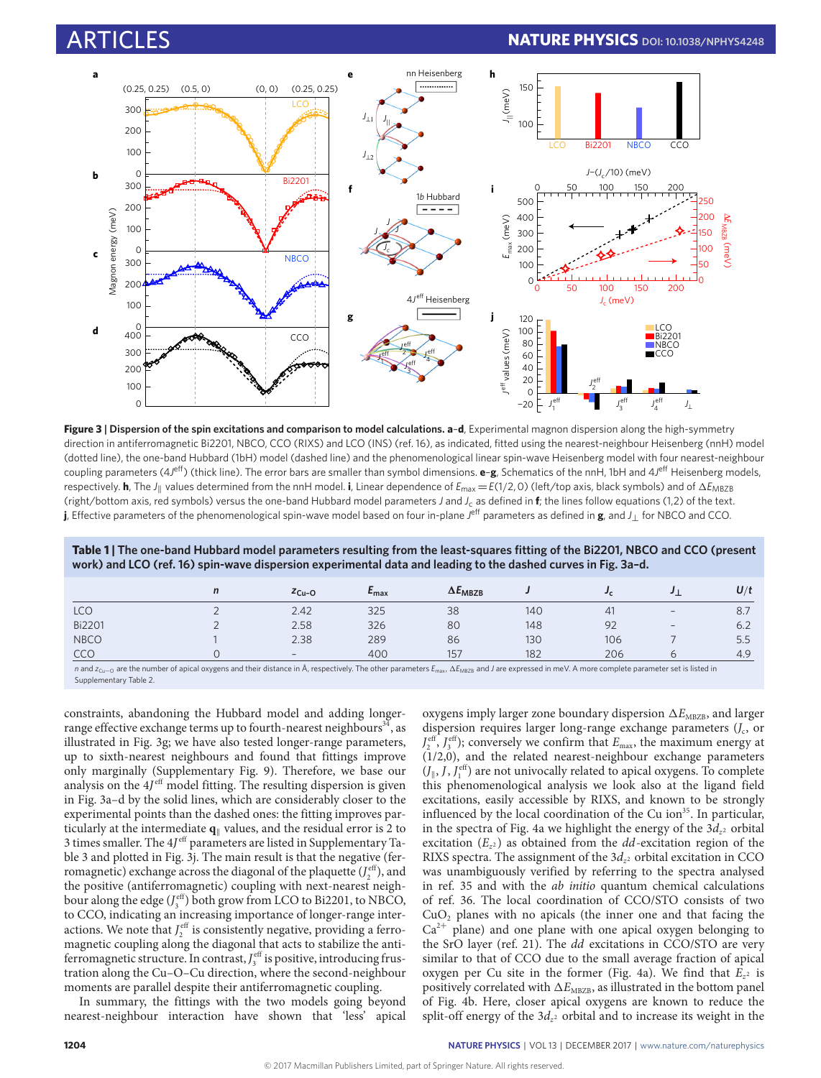<span id="page-3-0"></span>

**Figure 3 | Dispersion of the spin excitations and comparison to model calculations. a**–**d**, Experimental magnon dispersion along the high-symmetry direction in antiferromagnetic Bi2201, NBCO, CCO (RIXS) and LCO (INS) (ref. [16\)](#page-5-12), as indicated, fitted using the nearest-neighbour Heisenberg (nnH) model (dotted line), the one-band Hubbard (1bH) model (dashed line) and the phenomenological linear spin-wave Heisenberg model with four nearest-neighbour coupling parameters (4J<sup>eff</sup>) (thick line). The error bars are smaller than symbol dimensions. **e-g**, Schematics of the nnH, 1bH and 4J<sup>eff</sup> Heisenberg models, respectively. **h**, The *J*<sub>||</sub> values determined from the nnH model. **i**, Linear dependence of  $E_{\text{max}} = E(1/2, 0)$  (left/top axis, black symbols) and of  $\Delta E_{\text{MBZB}}$ (right/bottom axis, red symbols) versus the one-band Hubbard model parameters *J* and *J*<sup>c</sup> as defined in **f**; the lines follow equations (1,2) of the text. **j**, Effective parameters of the phenomenological spin-wave model based on four in-plane J<sup>eff</sup> parameters as defined in **g**, and J⊥ for NBCO and CCO.

<span id="page-3-1"></span>**Table 1 | The one-band Hubbard model parameters resulting from the least-squares fitting of the Bi2201, NBCO and CCO (present work) and LCO (ref. [16\)](#page-5-12) spin-wave dispersion experimental data and leading to the dashed curves in Fig. [3a–d.](#page-3-0)**

|               | n | $ZCu-O$                  | $E_{\text{max}}$ | $\Delta E_{MBZB}$ |     |     |        | U/t |
|---------------|---|--------------------------|------------------|-------------------|-----|-----|--------|-----|
| LCO           |   | 2.42                     | 325              | 38                | 140 | 41  | $\sim$ | 8.7 |
| <b>Bi2201</b> |   | 2.58                     | 326              | 80                | 148 | 92  | $\sim$ | 6.2 |
| <b>NBCO</b>   |   | 2.38                     | 289              | 86                | 130 | 106 |        | 5.5 |
| CCO           |   | $\overline{\phantom{a}}$ | 400              | 157               | 182 | 206 |        | 4.9 |

*n* and *z<sub>Cu−O</sub>* are the number of apical oxygens and their distance in Å, respectively. The other parameters *E*<sub>max</sub>,  $\Delta E_{MRZB}$  and *J* are expressed in meV. A more complete parameter set is listed in Supplementary Table 2.

constraints, abandoning the Hubbard model and adding longer-range effective exchange terms up to fourth-nearest neighbours<sup>[34](#page-5-30)</sup>, as illustrated in Fig. [3g;](#page-3-0) we have also tested longer-range parameters, up to sixth-nearest neighbours and found that fittings improve only marginally (Supplementary Fig. 9). Therefore, we base our analysis on the  $4J<sup>eff</sup>$  model fitting. The resulting dispersion is given in Fig. [3a–d](#page-3-0) by the solid lines, which are considerably closer to the experimental points than the dashed ones: the fitting improves particularly at the intermediate  $q_k$  values, and the residual error is 2 to 3 times smaller. The  $4J^{\text{eff}}$  parameters are listed in Supplementary Table 3 and plotted in Fig. [3j.](#page-3-0) The main result is that the negative (ferromagnetic) exchange across the diagonal of the plaquette  $(J_2^{\text{eff}})$ , and the positive (antiferromagnetic) coupling with next-nearest neighbour along the edge  $(J_3^{\text{eff}})$  both grow from LCO to Bi2201, to NBCO, to CCO, indicating an increasing importance of longer-range interactions. We note that  $J_2^{\text{eff}}$  is consistently negative, providing a ferromagnetic coupling along the diagonal that acts to stabilize the antiferromagnetic structure. In contrast,  $J_3^{\text{eff}}$  is positive, introducing frustration along the Cu–O–Cu direction, where the second-neighbour moments are parallel despite their antiferromagnetic coupling.

In summary, the fittings with the two models going beyond nearest-neighbour interaction have shown that 'less' apical oxygens imply larger zone boundary dispersion  $\Delta E_{\text{MBZB}}$ , and larger dispersion requires larger long-range exchange parameters  $(J_c)$ , or  $J_2^{\text{eff}}$ ,  $J_3^{\text{eff}}$ ); conversely we confirm that  $E_{\text{max}}$ , the maximum energy at (1/2,0), and the related nearest-neighbour exchange parameters  $(J_{\parallel}, J, J_{1}^{\text{eff}})$  are not univocally related to apical oxygens. To complete this phenomenological analysis we look also at the ligand field excitations, easily accessible by RIXS, and known to be strongly influenced by the local coordination of the Cu ion<sup>[35](#page-5-31)</sup>. In particular, in the spectra of Fig. [4a](#page-4-0) we highlight the energy of the  $3d_{z^2}$  orbital excitation  $(E_{z^2})$  as obtained from the *dd*-excitation region of the RIXS spectra. The assignment of the  $3d_{z^2}$  orbital excitation in CCO was unambiguously verified by referring to the spectra analysed in ref. [35](#page-5-31) and with the ab initio quantum chemical calculations of ref. [36.](#page-5-32) The local coordination of CCO/STO consists of two  $CuO<sub>2</sub>$  planes with no apicals (the inner one and that facing the  $Ca^{2+}$  plane) and one plane with one apical oxygen belonging to the SrO layer (ref. [21\)](#page-5-17). The dd excitations in CCO/STO are very similar to that of CCO due to the small average fraction of apical oxygen per Cu site in the former (Fig. [4a\)](#page-4-0). We find that  $E_{z^2}$  is positively correlated with  $\Delta E_{\text{\tiny MBZB}}$ , as illustrated in the bottom panel of Fig. [4b.](#page-4-0) Here, closer apical oxygens are known to reduce the split-off energy of the  $3d_{z^2}$  orbital and to increase its weight in the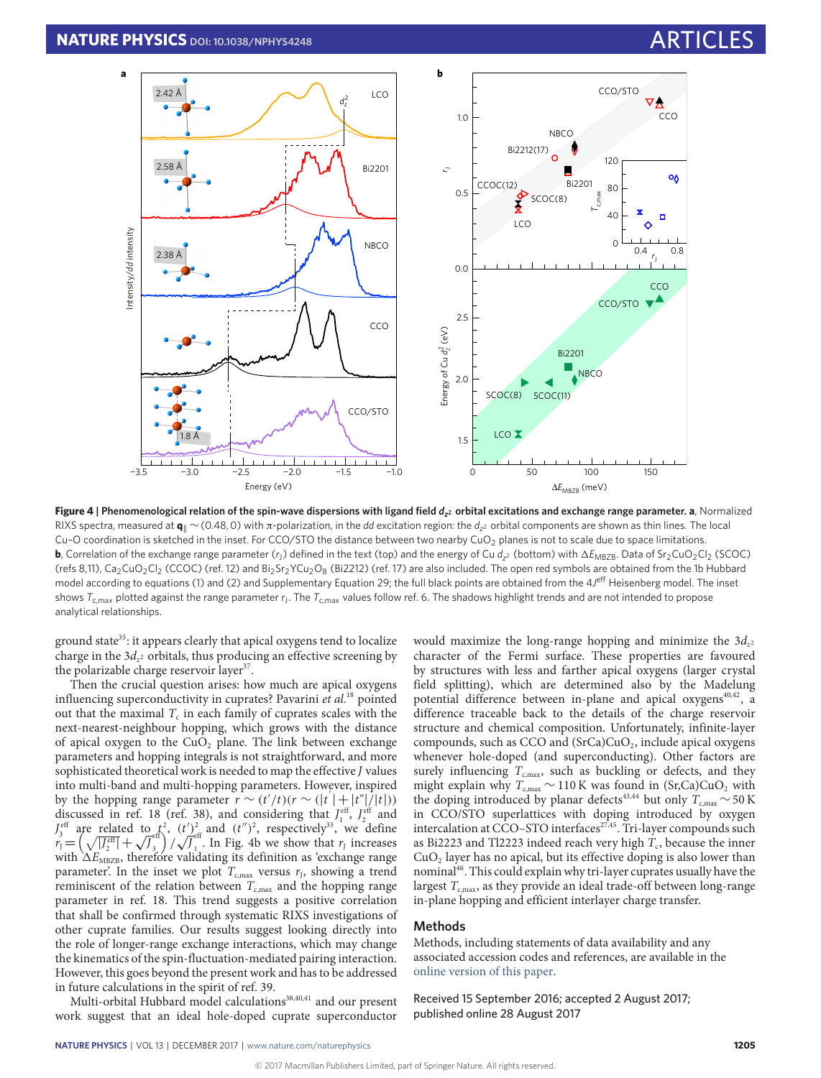<span id="page-4-0"></span>

**Figure 4 | Phenomenological relation of the spin-wave dispersions with ligand field** *d<sup>z</sup>* **<sup>2</sup> orbital excitations and exchange range parameter. a**, Normalized RIXS spectra, measured at **q**<sub>||</sub> ∼(0.48,0) with π-polarization, in the *dd* excitation region: the *d*<sub>z</sub>2 orbital components are shown as thin lines. The local Cu-O coordination is sketched in the inset. For CCO/STO the distance between two nearby CuO<sub>2</sub> planes is not to scale due to space limitations. **b**, Correlation of the exchange range parameter (r<sub>J</sub>) defined in the text (top) and the energy of Cu d<sub>z</sub>2 (bottom) with  $\Delta E_{\text{MBZB}}$ . Data of Sr<sub>2</sub>CuO<sub>2</sub>Cl<sub>2</sub> (SCOC) (refs [8,](#page-5-6)[11\)](#page-5-11), Ca<sub>2</sub>CuO<sub>2</sub>Cl<sub>2</sub> (CCOC) (ref. [12\)](#page-5-8) and Bi<sub>2</sub>Sr<sub>2</sub>YCu<sub>2</sub>O<sub>8</sub> (Bi2212) (ref. [17\)](#page-5-13) are also included. The open red symbols are obtained from the 1b Hubbard model according to equations [\(1\)](#page-2-1) and [\(2\)](#page-2-2) and Supplementary Equation 29; the full black points are obtained from the 4J<sup>eff</sup> Heisenberg model. The inset shows  $\tau_{\rm c,max}$  plotted against the range parameter  $r_{\rm J}$ . The  $\tau_{\rm c,max}$  values follow ref. [6.](#page-5-4) The shadows highlight trends and are not intended to propose analytical relationships.

ground state<sup>[35](#page-5-31)</sup>: it appears clearly that apical oxygens tend to localize charge in the  $3d_{z^2}$  orbitals, thus producing an effective screening by the polarizable charge reservoir layer<sup>[37](#page-5-33)</sup>.

Then the crucial question arises: how much are apical oxygens influencing superconductivity in cuprates? Pavarini et al.<sup>[18](#page-5-14)</sup> pointed out that the maximal  $T_{\rm c}$  in each family of cuprates scales with the next-nearest-neighbour hopping, which grows with the distance of apical oxygen to the  $CuO<sub>2</sub>$  plane. The link between exchange parameters and hopping integrals is not straightforward, and more sophisticated theoretical work is needed to map the effective J values into multi-band and multi-hopping parameters. However, inspired 0 by the hopping range parameter  $r \sim (t'/t)(r \sim (|t'| + |t''|/|t|))$ discussed in ref. [18](#page-5-14) (ref. [38\)](#page-5-34), and considering that  $J_1^{\text{eff}}$ ,  $J_2^{\text{eff}}$  and  $I_3^{\text{eff}}$  are related to  $t^2$ ,  $(t')_{\text{eff}}^2$  and  $(t'')^2$ , respectively<sup>[33](#page-5-29)</sup>, we define  $I_3^{\text{er}}$  are related to  $r_J = \left(\sqrt{|J_2^{\text{eff}}|} + \sqrt{J_3}\right)$  $\binom{eff}{3}$ /  $(t)$  $\tilde{\overline{J}}^{\text{eff}}_{_1}$  $\int_1$ . In Fig. [4b](#page-4-0) we show that  $r_1$  increases with  $\Delta E_{\text{MBZB}}$ , therefore validating its definition as 'exchange range parameter'. In the inset we plot  $T_{\mathrm{c,max}}$  versus  $r_\mathrm{j}$ , showing a trend reminiscent of the relation between  $T_{cmax}$  and the hopping range parameter in ref. [18.](#page-5-14) This trend suggests a positive correlation that shall be confirmed through systematic RIXS investigations of other cuprate families. Our results suggest looking directly into the role of longer-range exchange interactions, which may change the kinematics of the spin-fluctuation-mediated pairing interaction. However, this goes beyond the present work and has to be addressed in future calculations in the spirit of ref. [39.](#page-5-35)

Multi-orbital Hubbard model calculations<sup>[38,](#page-5-34)[40,](#page-5-36)[41](#page-5-37)</sup> and our present work suggest that an ideal hole-doped cuprate superconductor

would maximize the long-range hopping and minimize the  $3d_{z^2}$ character of the Fermi surface. These properties are favoured by structures with less and farther apical oxygens (larger crystal field splitting), which are determined also by the Madelung potential difference between in-plane and apical oxygens<sup>[40](#page-5-36)[,42](#page-5-38)</sup>, a difference traceable back to the details of the charge reservoir structure and chemical composition. Unfortunately, infinite-layer compounds, such as CCO and  $(SrCa)CuO<sub>2</sub>$ , include apical oxygens whenever hole-doped (and superconducting). Other factors are surely influencing  $T_{c,max}$ , such as buckling or defects, and they might explain why  $T_{c,max} \sim 110 \text{ K}$  was found in (Sr,Ca)CuO<sub>2</sub> with the doping introduced by planar defects<sup>[43](#page-5-39)[,44](#page-5-40)</sup> but only  $T_{c,max} \sim 50 \text{ K}$ in CCO/STO superlattices with doping introduced by oxygen intercalation at CCO–STO interfaces<sup>[27,](#page-5-23)[45](#page-5-41)</sup>. Tri-layer compounds such as Bi2223 and Tl2223 indeed reach very high  $T_c$ , because the inner  $CuO<sub>2</sub>$  layer has no apical, but its effective doping is also lower than nominal[46](#page-5-42). This could explain why tri-layer cuprates usually have the largest  $T_{c,max}$ , as they provide an ideal trade-off between long-range in-plane hopping and efficient interlayer charge transfer.

### **Methods**

Methods, including statements of data availability and any associated accession codes and references, are available in the [online version of this paper.](http://dx.doi.org/10.1038/nphys4248)

Received 15 September 2016; accepted 2 August 2017; published online 28 August 2017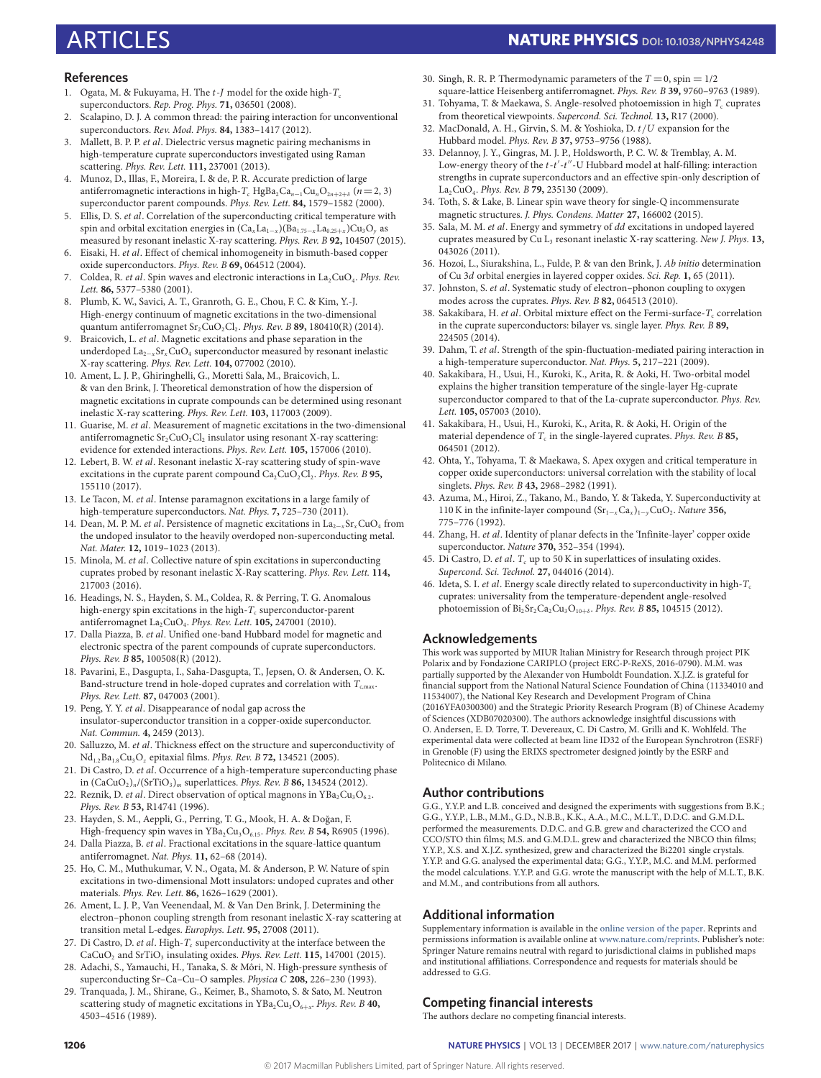## ARTICLES **NATURE PHYSICS DOI: [10.1038/NPHYS4248](http://dx.doi.org/10.1038/nphys4248)**

### **References**

- <span id="page-5-0"></span>1. Ogata, M. & Fukuyama, H. The  $t$ -J model for the oxide high- $T_c$ superconductors. Rep. Prog. Phys. **71,** 036501 (2008).
- <span id="page-5-1"></span>2. Scalapino, D. J. A common thread: the pairing interaction for unconventional superconductors. Rev. Mod. Phys. **84,** 1383–1417 (2012).
- <span id="page-5-2"></span>Mallett, B. P. P. et al. Dielectric versus magnetic pairing mechanisms in high-temperature cuprate superconductors investigated using Raman scattering. Phys. Rev. Lett. **111,** 237001 (2013).
- Munoz, D., Illas, F., Moreira, I. & de, P. R. Accurate prediction of large antiferromagnetic interactions in high-T<sub>c</sub> HgBa<sub>2</sub>Ca<sub>n-1</sub>Cu<sub>n</sub>O<sub>2n+2+δ</sub> (n=2, 3) superconductor parent compounds. Phys. Rev. Lett. **84,** 1579–1582 (2000).
- <span id="page-5-3"></span>5. Ellis, D. S. et al. Correlation of the superconducting critical temperature with spin and orbital excitation energies in  $(Ca_xLa_{1-x})(Ba_{1.75-x}La_{0.25+x})Cu_3O_y$  as measured by resonant inelastic X-ray scattering. Phys. Rev. B **92,** 104507 (2015).
- <span id="page-5-4"></span>6. Eisaki, H. et al. Effect of chemical inhomogeneity in bismuth-based copper oxide superconductors. Phys. Rev. B **69,** 064512 (2004).
- <span id="page-5-5"></span>7. Coldea, R. *et al*. Spin waves and electronic interactions in  $La_2CuO_4$ . *Phys. Rev.* Lett. **86,** 5377–5380 (2001).
- <span id="page-5-6"></span>8. Plumb, K. W., Savici, A. T., Granroth, G. E., Chou, F. C. & Kim, Y.-J. High-energy continuum of magnetic excitations in the two-dimensional quantum antiferromagnet  $Sr_2CuO_2Cl_2$ . *Phys. Rev. B* **89,** 180410(R) (2014).
- <span id="page-5-7"></span>9. Braicovich, L. et al. Magnetic excitations and phase separation in the underdoped La<sub>2−x</sub>Sr<sub>x</sub>CuO<sub>4</sub> superconductor measured by resonant inelastic X-ray scattering. Phys. Rev. Lett. **104,** 077002 (2010).
- <span id="page-5-43"></span>10. Ament, L. J. P., Ghiringhelli, G., Moretti Sala, M., Braicovich, L. & van den Brink, J. Theoretical demonstration of how the dispersion of magnetic excitations in cuprate compounds can be determined using resonant inelastic X-ray scattering. Phys. Rev. Lett. **103,** 117003 (2009).
- <span id="page-5-11"></span>11. Guarise, M. et al. Measurement of magnetic excitations in the two-dimensional antiferromagnetic  $\rm Sr_2CuO_2Cl_2$  insulator using resonant X-ray scattering: evidence for extended interactions. Phys. Rev. Lett. **105,** 157006 (2010).
- <span id="page-5-8"></span>12. Lebert, B. W. et al. Resonant inelastic X-ray scattering study of spin-wave excitations in the cuprate parent compound  $\text{Ca}_2\text{CuO}_2\text{Cl}_2$ . *Phys. Rev. B* **95,** 155110 (2017).
- <span id="page-5-9"></span>13. Le Tacon, M. et al. Intense paramagnon excitations in a large family of high-temperature superconductors. Nat. Phys. **7,** 725–730 (2011).
- 14. Dean, M. P. M. *et al.* Persistence of magnetic excitations in  $La_{2-x}Sr_xCuO_4$  from the undoped insulator to the heavily overdoped non-superconducting metal. Nat. Mater. **12,** 1019–1023 (2013).
- <span id="page-5-10"></span>15. Minola, M. et al. Collective nature of spin excitations in superconducting cuprates probed by resonant inelastic X-Ray scattering. Phys. Rev. Lett. **114,** 217003 (2016).
- <span id="page-5-12"></span>16. Headings, N. S., Hayden, S. M., Coldea, R. & Perring, T. G. Anomalous high-energy spin excitations in the high- $T_c$  superconductor-parent antiferromagnet La2CuO<sup>4</sup> . Phys. Rev. Lett. **105,** 247001 (2010).
- <span id="page-5-13"></span>17. Dalla Piazza, B. et al. Unified one-band Hubbard model for magnetic and electronic spectra of the parent compounds of cuprate superconductors. Phys. Rev. B **85,** 100508(R) (2012).
- <span id="page-5-14"></span>18. Pavarini, E., Dasgupta, I., Saha-Dasgupta, T., Jepsen, O. & Andersen, O. K. Band-structure trend in hole-doped cuprates and correlation with  $T_{c,max}$ . Phys. Rev. Lett. **87,** 047003 (2001).
- <span id="page-5-15"></span>19. Peng, Y. Y. et al. Disappearance of nodal gap across the insulator-superconductor transition in a copper-oxide superconductor. Nat. Commun. **4,** 2459 (2013).
- <span id="page-5-16"></span>20. Salluzzo, M. et al. Thickness effect on the structure and superconductivity of Nd1.2Ba1.8Cu3O<sup>z</sup> epitaxial films. Phys. Rev. B **72,** 134521 (2005).
- <span id="page-5-17"></span>21. Di Castro, D. et al. Occurrence of a high-temperature superconducting phase in (CaCuO2)<sup>n</sup> /(SrTiO3)<sup>m</sup> superlattices. Phys. Rev. B **86,** 134524 (2012).
- <span id="page-5-18"></span>22. Reznik, D. et al. Direct observation of optical magnons in  $YBa<sub>2</sub>Cu<sub>3</sub>O<sub>6.2</sub>$ . Phys. Rev. B **53,** R14741 (1996).
- <span id="page-5-19"></span>23. Hayden, S. M., Aeppli, G., Perring, T. G., Mook, H. A. & Doğan, F. High-frequency spin waves in YBa<sub>2</sub>Cu<sub>3</sub>O<sub>6.15</sub>. Phys. Rev. B 54, R6905 (1996).
- <span id="page-5-20"></span>24. Dalla Piazza, B. et al. Fractional excitations in the square-lattice quantum antiferromagnet. Nat. Phys. **11,** 62–68 (2014).
- <span id="page-5-21"></span>25. Ho, C. M., Muthukumar, V. N., Ogata, M. & Anderson, P. W. Nature of spin excitations in two-dimensional Mott insulators: undoped cuprates and other materials. Phys. Rev. Lett. **86,** 1626–1629 (2001).
- <span id="page-5-22"></span>26. Ament, L. J. P., Van Veenendaal, M. & Van Den Brink, J. Determining the electron–phonon coupling strength from resonant inelastic X-ray scattering at transition metal L-edges. Europhys. Lett. **95,** 27008 (2011).
- <span id="page-5-23"></span>27. Di Castro, D. et al. High- $T_c$  superconductivity at the interface between the CaCuO<sub>2</sub> and SrTiO<sub>3</sub> insulating oxides. Phys. Rev. Lett. **115,** 147001 (2015).
- <span id="page-5-24"></span>28. Adachi, S., Yamauchi, H., Tanaka, S. & Môri, N. High-pressure synthesis of superconducting Sr–Ca–Cu–O samples. Physica C **208,** 226–230 (1993).
- <span id="page-5-25"></span>29. Tranquada, J. M., Shirane, G., Keimer, B., Shamoto, S. & Sato, M. Neutron scattering study of magnetic excitations in YBa<sub>2</sub>Cu<sub>3</sub>O<sub>6+x</sub>. Phys. Rev. B **40,** 4503–4516 (1989).
- <span id="page-5-26"></span>30. Singh, R. R. P. Thermodynamic parameters of the  $T = 0$ , spin  $= 1/2$
- <span id="page-5-27"></span>square-lattice Heisenberg antiferromagnet. Phys. Rev. B **39,** 9760–9763 (1989). 31. Tohyama, T. & Maekawa, S. Angle-resolved photoemission in high  $T_c$  cuprates
- <span id="page-5-28"></span>from theoretical viewpoints. Supercond. Sci. Technol. **13,** R17 (2000). 32. MacDonald, A. H., Girvin, S. M. & Yoshioka, D. t/U expansion for the Hubbard model. Phys. Rev. B **37,** 9753–9756 (1988).
- <span id="page-5-29"></span>33. Delannoy, J. Y., Gingras, M. J. P., Holdsworth, P. C. W. & Tremblay, A. M. Low-energy theory of the  $t$ - $t'$ - $t''$ -U Hubbard model at half-filling: interaction strengths in cuprate superconductors and an effective spin-only description of La2CuO<sup>4</sup> . Phys. Rev. B **79,** 235130 (2009).
- <span id="page-5-30"></span>34. Toth, S. & Lake, B. Linear spin wave theory for single-Q incommensurate magnetic structures. J. Phys. Condens. Matter **27,** 166002 (2015).
- <span id="page-5-31"></span>35. Sala, M. M. et al. Energy and symmetry of dd excitations in undoped layered cuprates measured by Cu L<sup>3</sup> resonant inelastic X-ray scattering. New J. Phys. **13,** 043026 (2011).
- <span id="page-5-32"></span>36. Hozoi, L., Siurakshina, L., Fulde, P. & van den Brink, J. Ab initio determination of Cu 3d orbital energies in layered copper oxides. Sci. Rep. **1,** 65 (2011).
- <span id="page-5-33"></span>37. Johnston, S. et al. Systematic study of electron–phonon coupling to oxygen modes across the cuprates. Phys. Rev. B **82,** 064513 (2010).
- <span id="page-5-34"></span>38. Sakakibara, H. et al. Orbital mixture effect on the Fermi-surface- $T_c$  correlation in the cuprate superconductors: bilayer vs. single layer. Phys. Rev. B **89,** 224505 (2014).
- <span id="page-5-35"></span>39. Dahm, T. et al. Strength of the spin-fluctuation-mediated pairing interaction in a high-temperature superconductor. Nat. Phys. **5,** 217–221 (2009).
- <span id="page-5-36"></span>40. Sakakibara, H., Usui, H., Kuroki, K., Arita, R. & Aoki, H. Two-orbital model explains the higher transition temperature of the single-layer Hg-cuprate superconductor compared to that of the La-cuprate superconductor. Phys. Rev. Lett. **105,** 057003 (2010).
- <span id="page-5-37"></span>41. Sakakibara, H., Usui, H., Kuroki, K., Arita, R. & Aoki, H. Origin of the material dependence of  $T_c$  in the single-layered cuprates. *Phys. Rev. B* **85**, 064501 (2012).
- <span id="page-5-38"></span>42. Ohta, Y., Tohyama, T. & Maekawa, S. Apex oxygen and critical temperature in copper oxide superconductors: universal correlation with the stability of local singlets. Phys. Rev. B **43,** 2968–2982 (1991).
- <span id="page-5-39"></span>43. Azuma, M., Hiroi, Z., Takano, M., Bando, Y. & Takeda, Y. Superconductivity at 110 K in the infinite-layer compound (Sr1−xCa<sup>x</sup> )1−yCuO<sup>2</sup> . Nature **356,** 775–776 (1992).
- <span id="page-5-40"></span>44. Zhang, H. et al. Identity of planar defects in the 'Infinite-layer' copper oxide superconductor. Nature **370,** 352–354 (1994).
- <span id="page-5-41"></span>45. Di Castro, D. et al.  $T_c$  up to 50 K in superlattices of insulating oxides Supercond. Sci. Technol. **27,** 044016 (2014).
- <span id="page-5-42"></span>46. Ideta, S. I. et al. Energy scale directly related to superconductivity in high- $T_c$ cuprates: universality from the temperature-dependent angle-resolved photoemission of Bi<sub>2</sub>Sr<sub>2</sub>Ca<sub>2</sub>Cu<sub>3</sub>O<sub>10+δ</sub>. *Phys. Rev. B* **85,** 104515 (2012).

### **Acknowledgements**

This work was supported by MIUR Italian Ministry for Research through project PIK Polarix and by Fondazione CARIPLO (project ERC-P-ReXS, 2016-0790). M.M. was partially supported by the Alexander von Humboldt Foundation. X.J.Z. is grateful for financial support from the National Natural Science Foundation of China (11334010 and 11534007), the National Key Research and Development Program of China (2016YFA0300300) and the Strategic Priority Research Program (B) of Chinese Academy of Sciences (XDB07020300). The authors acknowledge insightful discussions with O. Andersen, E. D. Torre, T. Devereaux, C. Di Castro, M. Grilli and K. Wohlfeld. The experimental data were collected at beam line ID32 of the European Synchrotron (ESRF) in Grenoble (F) using the ERIXS spectrometer designed jointly by the ESRF and Politecnico di Milano.

### **Author contributions**

G.G., Y.Y.P. and L.B. conceived and designed the experiments with suggestions from B.K.; G.G., Y.Y.P., L.B., M.M., G.D., N.B.B., K.K., A.A., M.C., M.L.T., D.D.C. and G.M.D.L. performed the measurements. D.D.C. and G.B. grew and characterized the CCO and CCO/STO thin films; M.S. and G.M.D.L. grew and characterized the NBCO thin films; Y.Y.P., X.S. and X.J.Z. synthesized, grew and characterized the Bi2201 single crystals. Y.Y.P. and G.G. analysed the experimental data; G.G., Y.Y.P., M.C. and M.M. performed the model calculations. Y.Y.P. and G.G. wrote the manuscript with the help of M.L.T., B.K. and M.M., and contributions from all authors.

### **Additional information**

Supplementary information is available in the [online version of the paper.](http://dx.doi.org/10.1038/nphys4248) Reprints and permissions information is available online at [www.nature.com/reprints.](http://www.nature.com/reprints) Publisher's note: Springer Nature remains neutral with regard to jurisdictional claims in published maps and institutional affiliations. Correspondence and requests for materials should be addressed to G.G.

### **Competing financial interests**

The authors declare no competing financial interests.